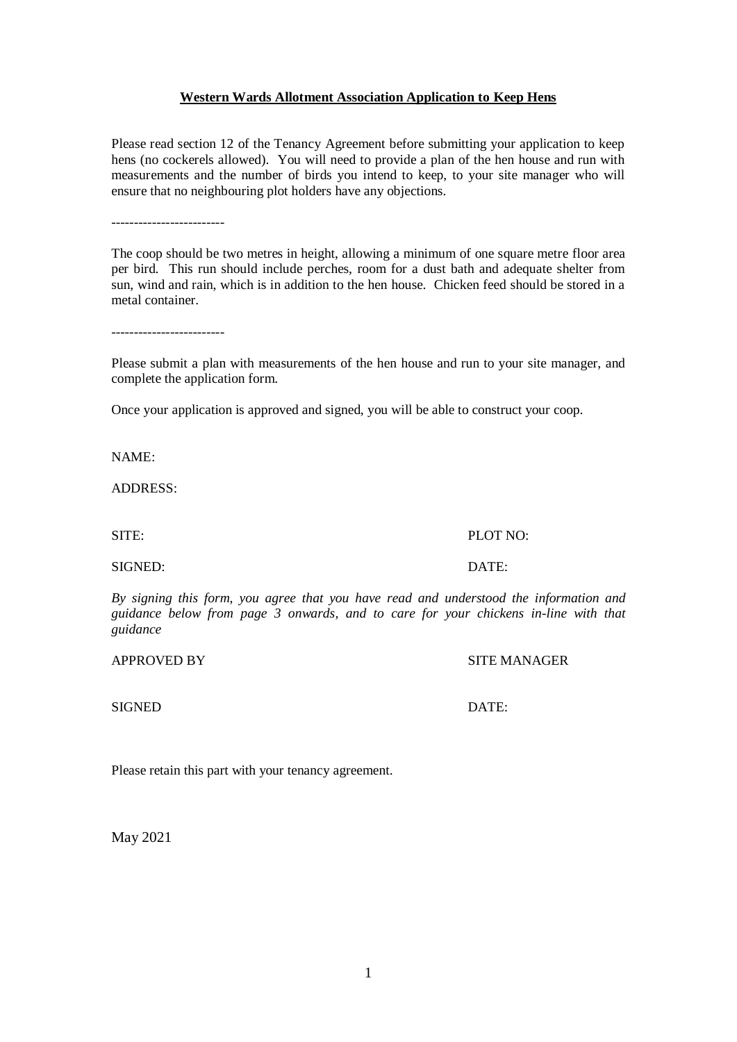1

## **Western Wards Allotment Association Application to Keep Hens**

Please read section 12 of the Tenancy Agreement before submitting your application to keep hens (no cockerels allowed). You will need to provide a plan of the hen house and run with measurements and the number of birds you intend to keep, to your site manager who will ensure that no neighbouring plot holders have any objections.

-------------------------

The coop should be two metres in height, allowing a minimum of one square metre floor area per bird. This run should include perches, room for a dust bath and adequate shelter from sun, wind and rain, which is in addition to the hen house. Chicken feed should be stored in a metal container.

-------------------------

Please submit a plan with measurements of the hen house and run to your site manager, and complete the application form.

Once your application is approved and signed, you will be able to construct your coop.

NAME:

ADDRESS:

SITE: PLOT NO:

SIGNED: DATE:

*By signing this form, you agree that you have read and understood the information and guidance below from page 3 onwards, and to care for your chickens in-line with that guidance*

APPROVED BY SITE MANAGER

SIGNED DATE:

Please retain this part with your tenancy agreement.

May 2021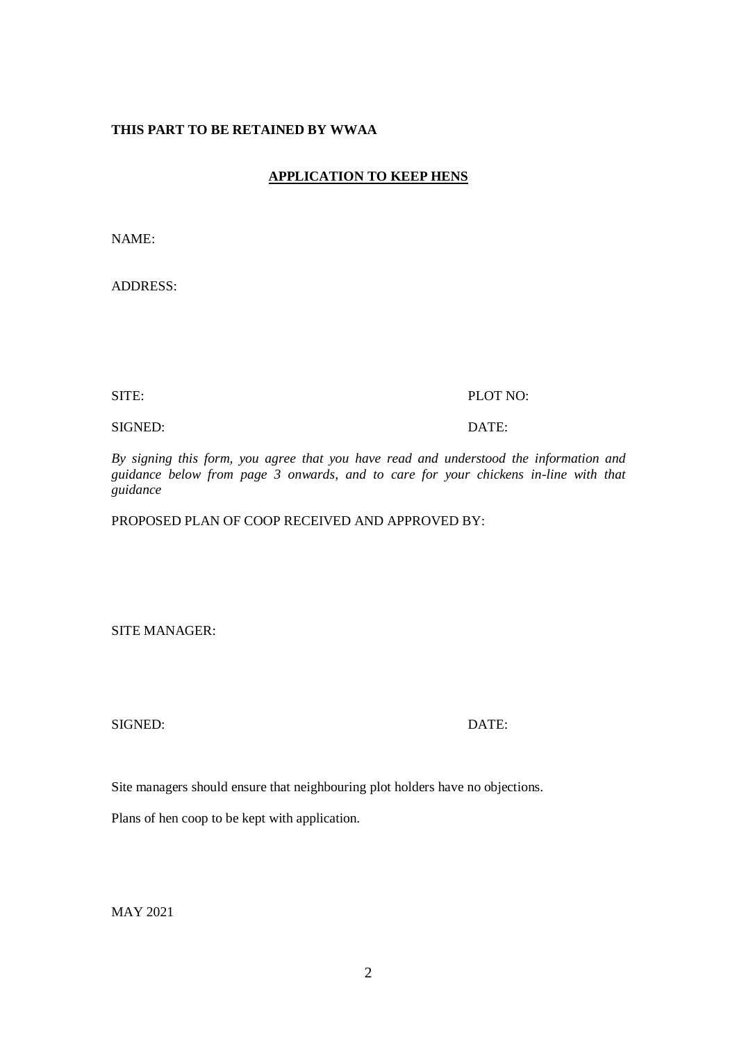#### **THIS PART TO BE RETAINED BY WWAA**

# **APPLICATION TO KEEP HENS**

NAME:

ADDRESS:

#### SITE: PLOT NO:

SIGNED: DATE:

*By signing this form, you agree that you have read and understood the information and guidance below from page 3 onwards, and to care for your chickens in-line with that guidance*

PROPOSED PLAN OF COOP RECEIVED AND APPROVED BY:

SITE MANAGER:

SIGNED: DATE:

Site managers should ensure that neighbouring plot holders have no objections.

Plans of hen coop to be kept with application.

MAY 2021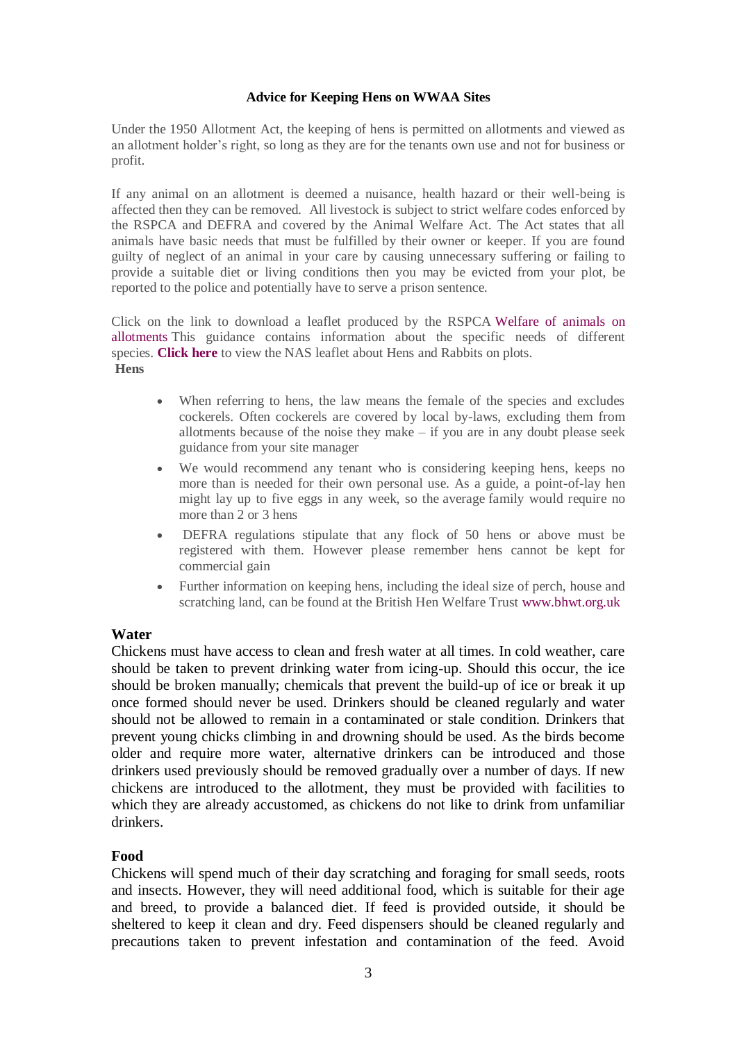#### **Advice for Keeping Hens on WWAA Sites**

Under the 1950 Allotment Act, the keeping of hens is permitted on allotments and viewed as an allotment holder's right, so long as they are for the tenants own use and not for business or profit.

If any animal on an allotment is deemed a nuisance, health hazard or their well-being is affected then they can be removed. All livestock is subject to strict welfare codes enforced by the RSPCA and DEFRA and covered by the Animal Welfare Act. The Act states that all animals have basic needs that must be fulfilled by their owner or keeper. If you are found guilty of neglect of an animal in your care by causing unnecessary suffering or failing to provide a suitable diet or living conditions then you may be evicted from your plot, be reported to the police and potentially have to serve a prison sentence.

Click on the link to download a leaflet produced by the RSPCA [Welfare](https://www.nsalg.org.uk/wp-content/uploads/2012/05/Welfare-of-animals-on-allotments.pdf) of animals on [allotments](https://www.nsalg.org.uk/wp-content/uploads/2012/05/Welfare-of-animals-on-allotments.pdf) This guidance contains information about the specific needs of different species. **[Click](https://www.nsalg.org.uk/wp-content/uploads/2012/09/A5_Hens_rabbits_220213_HiRes.pdf) here** to view the NAS leaflet about Hens and Rabbits on plots. **Hens**

- When referring to hens, the law means the female of the species and excludes cockerels. Often cockerels are covered by local by-laws, excluding them from allotments because of the noise they make – if you are in any doubt please seek guidance from your site manager
- We would recommend any tenant who is considering keeping hens, keeps no more than is needed for their own personal use. As a guide, a point-of-lay hen might lay up to five eggs in any week, so the average family would require no more than 2 or 3 hens
- DEFRA regulations stipulate that any flock of 50 hens or above must be registered with them. However please remember hens cannot be kept for commercial gain
- Further information on keeping hens, including the ideal size of perch, house and scratching land, can be found at the British Hen Welfare Trust [www.bhwt.org.uk](http://www.bhwt.org.uk/)

### **Water**

Chickens must have access to clean and fresh water at all times. In cold weather, care should be taken to prevent drinking water from icing-up. Should this occur, the ice should be broken manually; chemicals that prevent the build-up of ice or break it up once formed should never be used. Drinkers should be cleaned regularly and water should not be allowed to remain in a contaminated or stale condition. Drinkers that prevent young chicks climbing in and drowning should be used. As the birds become older and require more water, alternative drinkers can be introduced and those drinkers used previously should be removed gradually over a number of days. If new chickens are introduced to the allotment, they must be provided with facilities to which they are already accustomed, as chickens do not like to drink from unfamiliar drinkers.

### **Food**

Chickens will spend much of their day scratching and foraging for small seeds, roots and insects. However, they will need additional food, which is suitable for their age and breed, to provide a balanced diet. If feed is provided outside, it should be sheltered to keep it clean and dry. Feed dispensers should be cleaned regularly and precautions taken to prevent infestation and contamination of the feed. Avoid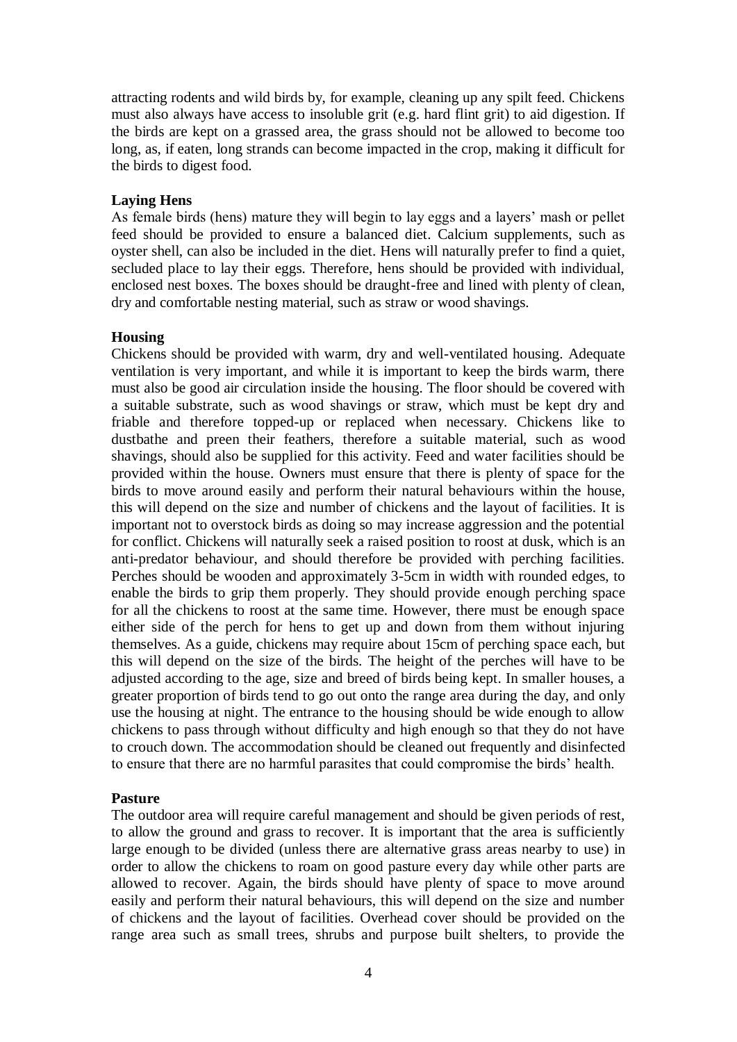attracting rodents and wild birds by, for example, cleaning up any spilt feed. Chickens must also always have access to insoluble grit (e.g. hard flint grit) to aid digestion. If the birds are kept on a grassed area, the grass should not be allowed to become too long, as, if eaten, long strands can become impacted in the crop, making it difficult for the birds to digest food.

### **Laying Hens**

As female birds (hens) mature they will begin to lay eggs and a layers' mash or pellet feed should be provided to ensure a balanced diet. Calcium supplements, such as oyster shell, can also be included in the diet. Hens will naturally prefer to find a quiet, secluded place to lay their eggs. Therefore, hens should be provided with individual, enclosed nest boxes. The boxes should be draught-free and lined with plenty of clean, dry and comfortable nesting material, such as straw or wood shavings.

### **Housing**

Chickens should be provided with warm, dry and well-ventilated housing. Adequate ventilation is very important, and while it is important to keep the birds warm, there must also be good air circulation inside the housing. The floor should be covered with a suitable substrate, such as wood shavings or straw, which must be kept dry and friable and therefore topped-up or replaced when necessary. Chickens like to dustbathe and preen their feathers, therefore a suitable material, such as wood shavings, should also be supplied for this activity. Feed and water facilities should be provided within the house. Owners must ensure that there is plenty of space for the birds to move around easily and perform their natural behaviours within the house, this will depend on the size and number of chickens and the layout of facilities. It is important not to overstock birds as doing so may increase aggression and the potential for conflict. Chickens will naturally seek a raised position to roost at dusk, which is an anti-predator behaviour, and should therefore be provided with perching facilities. Perches should be wooden and approximately 3-5cm in width with rounded edges, to enable the birds to grip them properly. They should provide enough perching space for all the chickens to roost at the same time. However, there must be enough space either side of the perch for hens to get up and down from them without injuring themselves. As a guide, chickens may require about 15cm of perching space each, but this will depend on the size of the birds. The height of the perches will have to be adjusted according to the age, size and breed of birds being kept. In smaller houses, a greater proportion of birds tend to go out onto the range area during the day, and only use the housing at night. The entrance to the housing should be wide enough to allow chickens to pass through without difficulty and high enough so that they do not have to crouch down. The accommodation should be cleaned out frequently and disinfected to ensure that there are no harmful parasites that could compromise the birds' health.

## **Pasture**

The outdoor area will require careful management and should be given periods of rest, to allow the ground and grass to recover. It is important that the area is sufficiently large enough to be divided (unless there are alternative grass areas nearby to use) in order to allow the chickens to roam on good pasture every day while other parts are allowed to recover. Again, the birds should have plenty of space to move around easily and perform their natural behaviours, this will depend on the size and number of chickens and the layout of facilities. Overhead cover should be provided on the range area such as small trees, shrubs and purpose built shelters, to provide the